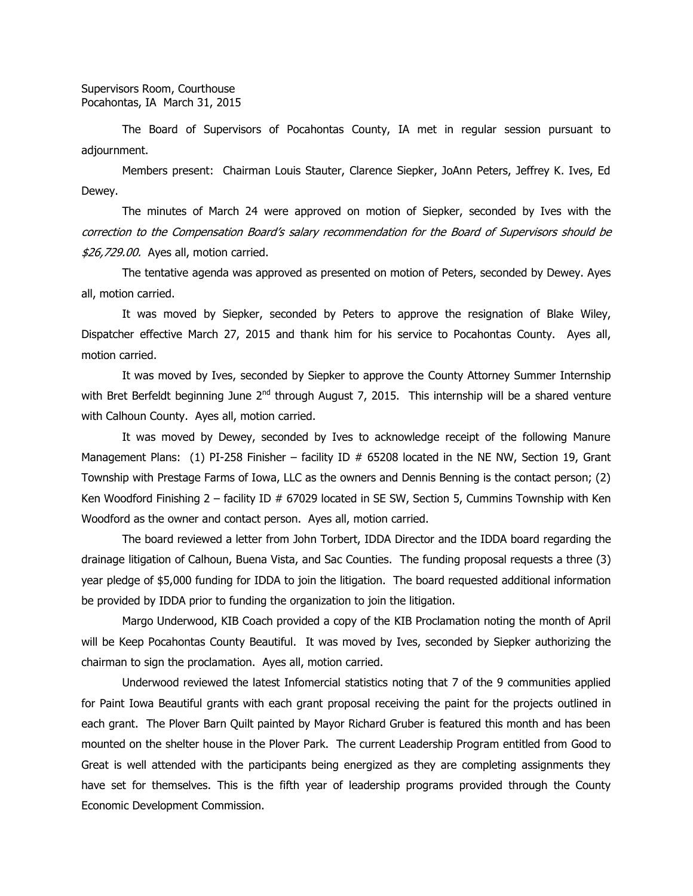The Board of Supervisors of Pocahontas County, IA met in regular session pursuant to adjournment.

Members present: Chairman Louis Stauter, Clarence Siepker, JoAnn Peters, Jeffrey K. Ives, Ed Dewey.

The minutes of March 24 were approved on motion of Siepker, seconded by Ives with the correction to the Compensation Board's salary recommendation for the Board of Supervisors should be \$26,729.00. Ayes all, motion carried.

The tentative agenda was approved as presented on motion of Peters, seconded by Dewey. Ayes all, motion carried.

It was moved by Siepker, seconded by Peters to approve the resignation of Blake Wiley, Dispatcher effective March 27, 2015 and thank him for his service to Pocahontas County. Ayes all, motion carried.

It was moved by Ives, seconded by Siepker to approve the County Attorney Summer Internship with Bret Berfeldt beginning June  $2^{nd}$  through August 7, 2015. This internship will be a shared venture with Calhoun County. Ayes all, motion carried.

It was moved by Dewey, seconded by Ives to acknowledge receipt of the following Manure Management Plans: (1) PI-258 Finisher – facility ID # 65208 located in the NE NW, Section 19, Grant Township with Prestage Farms of Iowa, LLC as the owners and Dennis Benning is the contact person; (2) Ken Woodford Finishing  $2$  – facility ID # 67029 located in SE SW, Section 5, Cummins Township with Ken Woodford as the owner and contact person. Ayes all, motion carried.

The board reviewed a letter from John Torbert, IDDA Director and the IDDA board regarding the drainage litigation of Calhoun, Buena Vista, and Sac Counties. The funding proposal requests a three (3) year pledge of \$5,000 funding for IDDA to join the litigation. The board requested additional information be provided by IDDA prior to funding the organization to join the litigation.

Margo Underwood, KIB Coach provided a copy of the KIB Proclamation noting the month of April will be Keep Pocahontas County Beautiful. It was moved by Ives, seconded by Siepker authorizing the chairman to sign the proclamation. Ayes all, motion carried.

Underwood reviewed the latest Infomercial statistics noting that 7 of the 9 communities applied for Paint Iowa Beautiful grants with each grant proposal receiving the paint for the projects outlined in each grant. The Plover Barn Quilt painted by Mayor Richard Gruber is featured this month and has been mounted on the shelter house in the Plover Park. The current Leadership Program entitled from Good to Great is well attended with the participants being energized as they are completing assignments they have set for themselves. This is the fifth year of leadership programs provided through the County Economic Development Commission.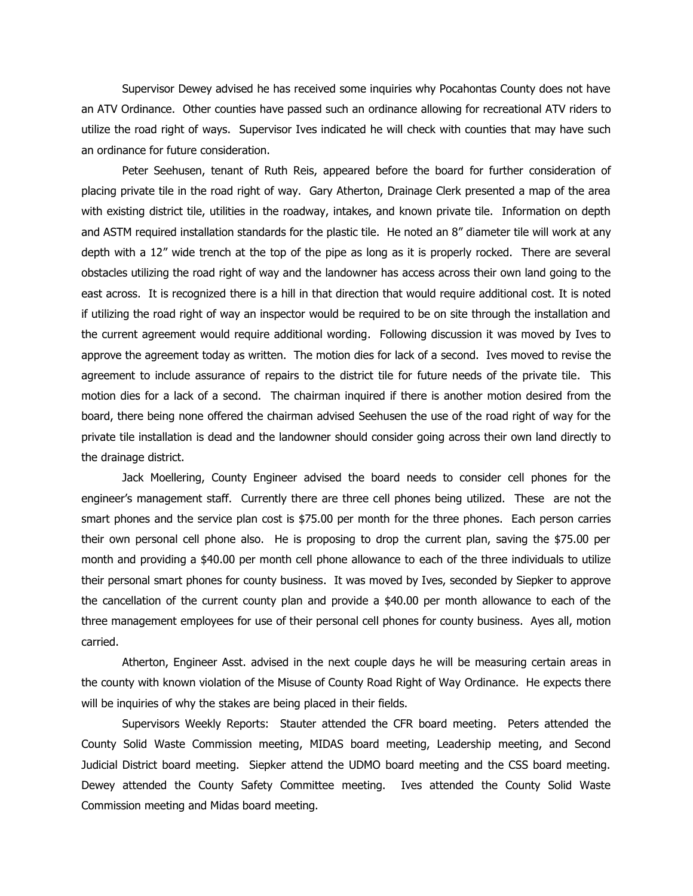Supervisor Dewey advised he has received some inquiries why Pocahontas County does not have an ATV Ordinance. Other counties have passed such an ordinance allowing for recreational ATV riders to utilize the road right of ways. Supervisor Ives indicated he will check with counties that may have such an ordinance for future consideration.

Peter Seehusen, tenant of Ruth Reis, appeared before the board for further consideration of placing private tile in the road right of way. Gary Atherton, Drainage Clerk presented a map of the area with existing district tile, utilities in the roadway, intakes, and known private tile. Information on depth and ASTM required installation standards for the plastic tile. He noted an 8" diameter tile will work at any depth with a 12" wide trench at the top of the pipe as long as it is properly rocked. There are several obstacles utilizing the road right of way and the landowner has access across their own land going to the east across. It is recognized there is a hill in that direction that would require additional cost. It is noted if utilizing the road right of way an inspector would be required to be on site through the installation and the current agreement would require additional wording. Following discussion it was moved by Ives to approve the agreement today as written. The motion dies for lack of a second. Ives moved to revise the agreement to include assurance of repairs to the district tile for future needs of the private tile. This motion dies for a lack of a second. The chairman inquired if there is another motion desired from the board, there being none offered the chairman advised Seehusen the use of the road right of way for the private tile installation is dead and the landowner should consider going across their own land directly to the drainage district.

Jack Moellering, County Engineer advised the board needs to consider cell phones for the engineer's management staff. Currently there are three cell phones being utilized. These are not the smart phones and the service plan cost is \$75.00 per month for the three phones. Each person carries their own personal cell phone also. He is proposing to drop the current plan, saving the \$75.00 per month and providing a \$40.00 per month cell phone allowance to each of the three individuals to utilize their personal smart phones for county business. It was moved by Ives, seconded by Siepker to approve the cancellation of the current county plan and provide a \$40.00 per month allowance to each of the three management employees for use of their personal cell phones for county business. Ayes all, motion carried.

Atherton, Engineer Asst. advised in the next couple days he will be measuring certain areas in the county with known violation of the Misuse of County Road Right of Way Ordinance. He expects there will be inquiries of why the stakes are being placed in their fields.

Supervisors Weekly Reports: Stauter attended the CFR board meeting. Peters attended the County Solid Waste Commission meeting, MIDAS board meeting, Leadership meeting, and Second Judicial District board meeting. Siepker attend the UDMO board meeting and the CSS board meeting. Dewey attended the County Safety Committee meeting. Ives attended the County Solid Waste Commission meeting and Midas board meeting.